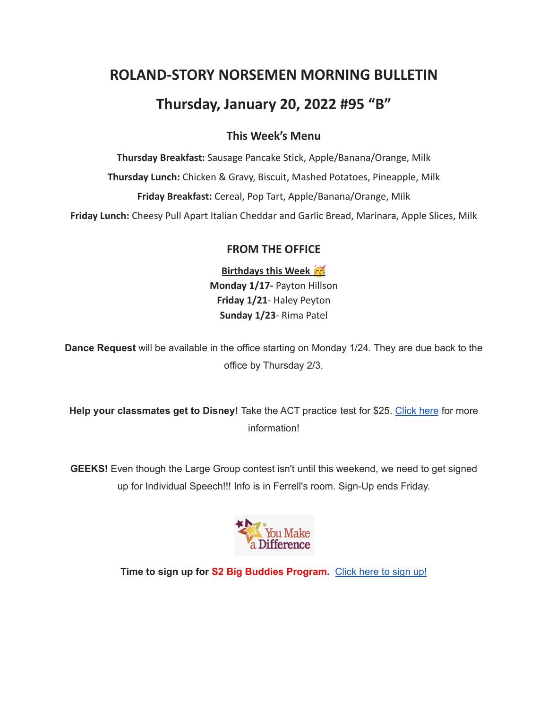# **ROLAND-STORY NORSEMEN MORNING BULLETIN**

# **Thursday, January 20, 2022 #95 "B"**

## **This Week's Menu**

**Thursday Breakfast:** Sausage Pancake Stick, Apple/Banana/Orange, Milk **Thursday Lunch:** Chicken & Gravy, Biscuit, Mashed Potatoes, Pineapple, Milk **Friday Breakfast:** Cereal, Pop Tart, Apple/Banana/Orange, Milk

**Friday Lunch:** Cheesy Pull Apart Italian Cheddar and Garlic Bread, Marinara, Apple Slices, Milk

## **FROM THE OFFICE**

**Birthdays this Week Monday 1/17-** Payton Hillson **Friday 1/21**- Haley Peyton **Sunday 1/23**- Rima Patel

**Dance Request** will be available in the office starting on Monday 1/24. They are due back to the office by Thursday 2/3.

**Help your classmates get to Disney!** Take the ACT practice test for \$25. [Click](https://drive.google.com/file/d/1oPqWQ0VvsIc-NVR9cIZGWUySp5CiMbtD/view?usp=sharing) here for more information!

**GEEKS!** Even though the Large Group contest isn't until this weekend, we need to get signed up for Individual Speech!!! Info is in Ferrell's room. Sign-Up ends Friday.



**Time to sign up for S2 Big Buddies Program.** [Click](https://docs.google.com/forms/d/e/1FAIpQLScEfMWk-lsFYGzpe0Yn6ky9dqYu7j6368TGcUHByQAIutY4OA/viewform?usp=sf_link) here to sign up!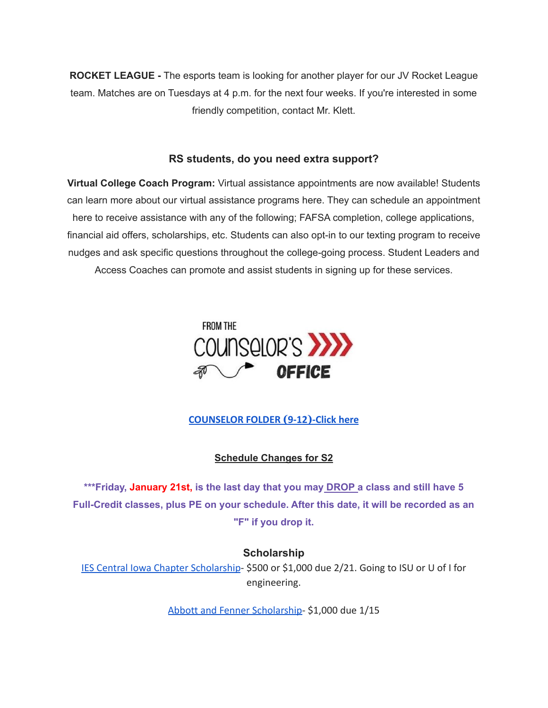**ROCKET LEAGUE -** The esports team is looking for another player for our JV Rocket League team. Matches are on Tuesdays at 4 p.m. for the next four weeks. If you're interested in some friendly competition, contact Mr. Klett.

#### **RS students, do you need extra support?**

**Virtual College Coach Program:** Virtual assistance appointments are now available! Students can learn more about our virtual assistance programs here. They can schedule an appointment here to receive assistance with any of the following; FAFSA completion, college applications, financial aid offers, scholarships, etc. Students can also opt-in to our texting program to receive nudges and ask specific questions throughout the college-going process. Student Leaders and Access Coaches can promote and assist students in signing up for these services.



**[COUNSELOR FOLDER](https://docs.google.com/document/d/1vmwczNPbDzXe9vFaG5LJMQ7NYDv-i4oQJHybqA65TUc/edit?usp=sharing) (9-12)-Click here**

**Schedule Changes for S2**

**\*\*\*Friday, January 21st, is the last day that you may DROP a class and still have 5 Full-Credit classes, plus PE on your schedule. After this date, it will be recorded as an "F" if you drop it.**

### **Scholarship**

[IES Central Iowa Chapter Scholarship](https://drive.google.com/file/d/1TOCO584mY9ObCqCNa6kBs_Yjrn4wPSdj/view?usp=sharing)- \$500 or \$1,000 due 2/21. Going to ISU or U of I for engineering.

[Abbott and Fenner Scholarship-](https://abbottandfenner.com/scholarships.php) \$1,000 due 1/15